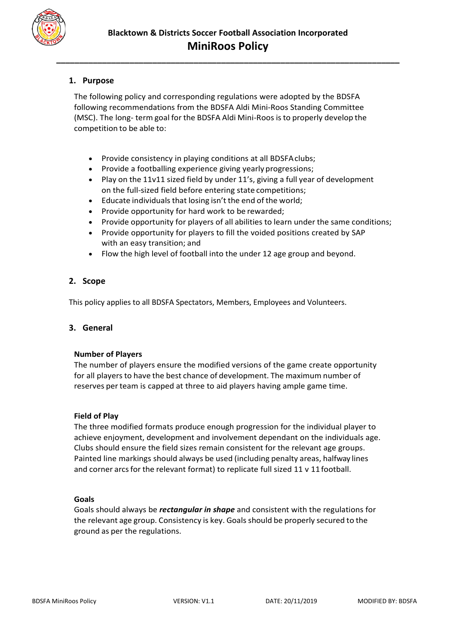

# **1. Purpose**

The following policy and corresponding regulations were adopted by the BDSFA following recommendations from the BDSFA Aldi Mini-Roos Standing Committee (MSC). The long- term goal for the BDSFA Aldi Mini-Roos isto properly develop the competition to be able to:

- Provide consistency in playing conditions at all BDSFAclubs;
- Provide a footballing experience giving yearly progressions;
- Play on the 11v11 sized field by under 11's, giving a full year of development on the full-sized field before entering state competitions;
- Educate individuals that losing isn't the end of the world;
- Provide opportunity for hard work to be rewarded;
- Provide opportunity for players of all abilities to learn under the same conditions;
- Provide opportunity for players to fill the voided positions created by SAP with an easy transition; and
- Flow the high level of football into the under 12 age group and beyond.

# **2. Scope**

This policy applies to all BDSFA Spectators, Members, Employees and Volunteers.

# **3. General**

# **Number of Players**

The number of players ensure the modified versions of the game create opportunity for all players to have the best chance of development. The maximum number of reserves perteam is capped at three to aid players having ample game time.

# **Field of Play**

The three modified formats produce enough progression for the individual player to achieve enjoyment, development and involvement dependant on the individuals age. Clubs should ensure the field sizes remain consistent for the relevant age groups. Painted line markings should always be used (including penalty areas, halfway lines and corner arcs for the relevant format) to replicate full sized 11 v 11 football.

#### **Goals**

Goals should always be *rectangular in shape* and consistent with the regulations for the relevant age group. Consistency is key. Goals should be properly secured to the ground as per the regulations.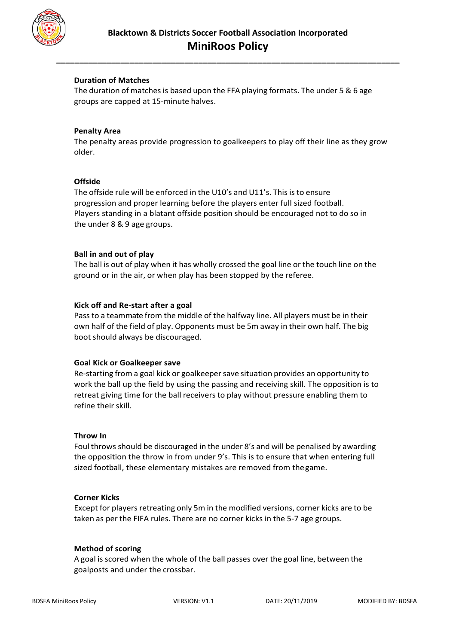

# **Duration of Matches**

The duration of matches is based upon the FFA playing formats. The under 5  $& 6$  age groups are capped at 15-minute halves.

### **Penalty Area**

The penalty areas provide progression to goalkeepers to play off their line as they grow older.

#### **Offside**

The offside rule will be enforced in the U10's and U11's. Thisis to ensure progression and proper learning before the players enter full sized football. Players standing in a blatant offside position should be encouraged not to do so in the under 8 & 9 age groups.

### **Ball in and out of play**

The ball is out of play when it has wholly crossed the goal line or the touch line on the ground or in the air, or when play has been stopped by the referee.

### **Kick off and Re-start after a goal**

Pass to a teammate from the middle of the halfway line. All players must be in their own half of the field of play. Opponents must be 5m away in their own half. The big boot should always be discouraged.

#### **Goal Kick or Goalkeeper save**

Re-starting from a goal kick or goalkeepersave situation provides an opportunity to work the ball up the field by using the passing and receiving skill. The opposition is to retreat giving time for the ball receivers to play without pressure enabling them to refine their skill.

#### **Throw In**

Foul throws should be discouraged in the under 8's and will be penalised by awarding the opposition the throw in from under 9's. This is to ensure that when entering full sized football, these elementary mistakes are removed from thegame.

#### **Corner Kicks**

Except for players retreating only 5m in the modified versions, corner kicks are to be taken as per the FIFA rules. There are no corner kicks in the 5-7 age groups.

#### **Method of scoring**

A goal is scored when the whole of the ball passes over the goal line, between the goalposts and under the crossbar.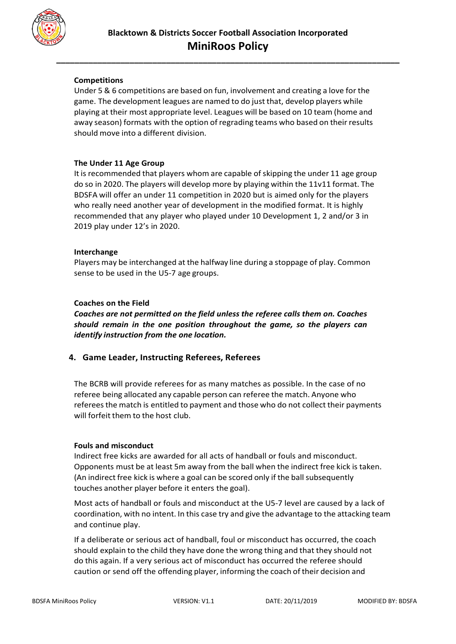

# **Competitions**

Under 5 & 6 competitions are based on fun, involvement and creating a love for the game. The development leagues are named to do just that, develop players while playing at their most appropriate level. Leagues will be based on 10 team (home and away season) formats with the option of regrading teams who based on their results should move into a different division.

### **The Under 11 Age Group**

It is recommended that players whom are capable of skipping the under 11 age group do so in 2020. The players will develop more by playing within the 11v11 format. The BDSFA will offer an under 11 competition in 2020 but is aimed only for the players who really need another year of development in the modified format. It is highly recommended that any player who played under 10 Development 1, 2 and/or 3 in 2019 play under 12's in 2020.

### **Interchange**

Players may be interchanged at the halfway line during a stoppage of play. Common sense to be used in the U5-7 age groups.

### **Coaches on the Field**

*Coaches are not permitted on the field unless the referee calls them on. Coaches should remain in the one position throughout the game, so the players can identify instruction from the one location.*

# **4. Game Leader, Instructing Referees, Referees**

The BCRB will provide referees for as many matches as possible. In the case of no referee being allocated any capable person can referee the match. Anyone who refereesthe match is entitled to payment and those who do not collect their payments will forfeit them to the host club.

#### **Fouls and misconduct**

Indirect free kicks are awarded for all acts of handball or fouls and misconduct. Opponents must be at least 5m away from the ball when the indirect free kick is taken. (An indirect free kick is where a goal can be scored only if the ball subsequently touches another player before it enters the goal).

Most acts of handball or fouls and misconduct at the U5-7 level are caused by a lack of coordination, with no intent. In this case try and give the advantage to the attacking team and continue play.

If a deliberate or serious act of handball, foul or misconduct has occurred, the coach should explain to the child they have done the wrong thing and that they should not do this again. If a very serious act of misconduct has occurred the referee should caution or send off the offending player, informing the coach of their decision and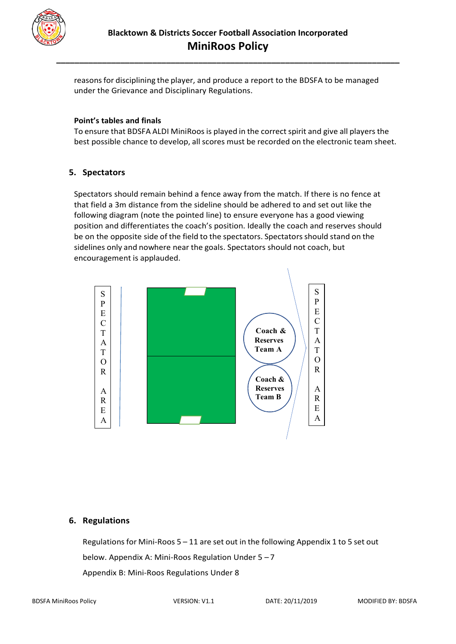

reasonsfor disciplining the player, and produce a report to the BDSFA to be managed under the Grievance and Disciplinary Regulations.

**\_\_\_\_\_\_\_\_\_\_\_\_\_\_\_\_\_\_\_\_\_\_\_\_\_\_\_\_\_\_\_\_\_\_\_\_\_\_\_\_\_\_\_\_\_\_\_\_\_\_\_\_\_\_\_\_\_\_\_\_\_\_\_\_\_\_\_\_\_\_\_\_\_\_\_**

#### **Point's tables and finals**

To ensure that BDSFA ALDI MiniRoos is played in the correct spirit and give all players the best possible chance to develop, all scores must be recorded on the electronic team sheet.

### **5. Spectators**

Spectators should remain behind a fence away from the match. If there is no fence at that field a 3m distance from the sideline should be adhered to and set out like the following diagram (note the pointed line) to ensure everyone has a good viewing position and differentiates the coach's position. Ideally the coach and reserves should be on the opposite side of the field to the spectators. Spectators should stand on the sidelines only and nowhere near the goals. Spectators should not coach, but encouragement is applauded.



#### **6. Regulations**

Regulations for Mini-Roos  $5 - 11$  are set out in the following Appendix 1 to 5 set out below. Appendix A: Mini-Roos Regulation Under 5 – 7 Appendix B: Mini-Roos Regulations Under 8